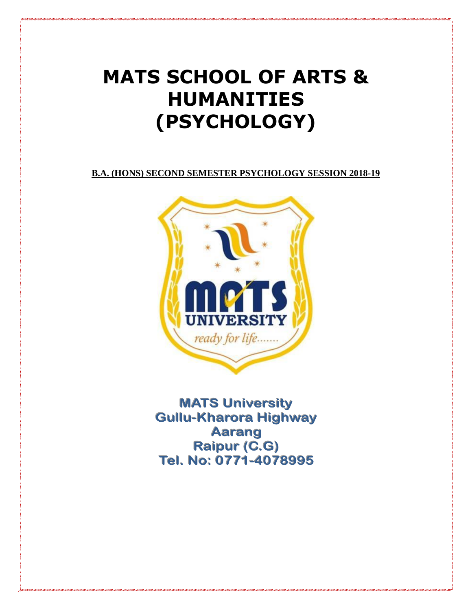# **MATS SCHOOL OF ARTS & HUMANITIES (PSYCHOLOGY)**

**B.A. (HONS) SECOND SEMESTER PSYCHOLOGY SESSION 2018-19**



**MATS University Gullu-Kharora Highway Aarang** Raipur (C.G) Tel. No: 0771-4078995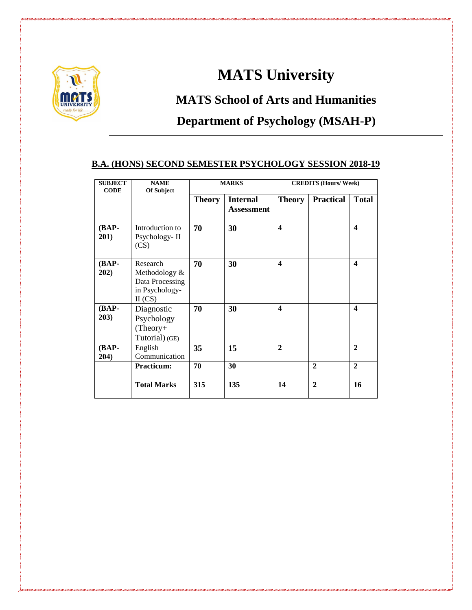

### **MATS University**

## **MATS School of Arts and Humanities Department of Psychology (MSAH-P)**

### **B.A. (HONS) SECOND SEMESTER PSYCHOLOGY SESSION 2018-19**

| <b>SUBJECT</b><br><b>CODE</b> | <b>NAME</b><br>Of Subject                                                 | <b>MARKS</b>  |                               | <b>CREDITS (Hours/Week)</b> |                  |                  |
|-------------------------------|---------------------------------------------------------------------------|---------------|-------------------------------|-----------------------------|------------------|------------------|
|                               |                                                                           | <b>Theory</b> | <b>Internal</b><br>Assessment | <b>Theory</b>               | <b>Practical</b> | <b>Total</b>     |
| (BAP-<br>201)                 | Introduction to<br>Psychology-II<br>(CS)                                  | 70            | 30                            | $\boldsymbol{4}$            |                  | $\blacktriangle$ |
| (BAP-<br>202)                 | Research<br>Methodology &<br>Data Processing<br>in Psychology-<br>II (CS) | 70            | 30                            | $\boldsymbol{4}$            |                  | 4                |
| $(BAP-$<br>203)               | Diagnostic<br>Psychology<br>$(Theory+$<br>Tutorial) (GE)                  | 70            | 30                            | $\boldsymbol{4}$            |                  | $\blacktriangle$ |
| $(BAP-$<br>204)               | English<br>Communication                                                  | 35            | 15                            | $\mathbf{2}$                |                  | $\mathbf{2}$     |
|                               | <b>Practicum:</b>                                                         | 70            | 30                            |                             | $\mathbf{2}$     | $\mathbf{2}$     |
|                               | <b>Total Marks</b>                                                        | 315           | 135                           | 14                          | $\overline{2}$   | 16               |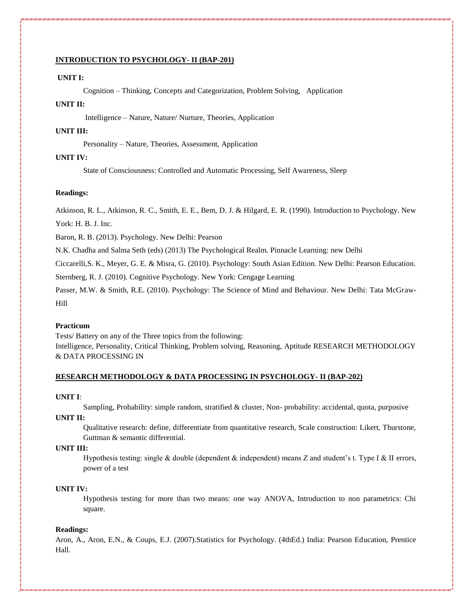#### **INTRODUCTION TO PSYCHOLOGY- II (BAP-201)**

#### **UNIT I:**

Cognition – Thinking, Concepts and Categorization, Problem Solving, Application

#### **UNIT II:**

Intelligence – Nature, Nature/ Nurture, Theories, Application

#### **UNIT III:**

Personality – Nature, Theories, Assessment, Application

#### **UNIT IV:**

State of Consciousness: Controlled and Automatic Processing, Self Awareness, Sleep

#### **Readings:**

Atkinson, R. L., Atkinson, R. C., Smith, E. E., Bem, D. J. & Hilgard, E. R. (1990). Introduction to Psychology. New

York: H. B. J. Inc.

Baron, R. B. (2013). Psychology. New Delhi: Pearson

N.K. Chadha and Salma Seth (eds) (2013) The Psychological Realm. Pinnacle Learning: new Delhi

Ciccarelli,S. K., Meyer, G. E. & Misra, G. (2010). Psychology: South Asian Edition. New Delhi: Pearson Education.

Sternberg, R. J. (2010). Cognitive Psychology. New York: Cengage Learning

Passer, M.W. & Smith, R.E. (2010). Psychology: The Science of Mind and Behaviour. New Delhi: Tata McGraw-Hill

#### **Practicum**

Tests/ Battery on any of the Three topics from the following: Intelligence, Personality, Critical Thinking, Problem solving, Reasoning, Aptitude RESEARCH METHODOLOGY & DATA PROCESSING IN

#### **RESEARCH METHODOLOGY & DATA PROCESSING IN PSYCHOLOGY- II (BAP-202)**

#### **UNIT I**:

Sampling, Probability: simple random, stratified & cluster, Non- probability: accidental, quota, purposive

#### **UNIT II:**

Qualitative research: define, differentiate from quantitative research, Scale construction: Likert, Thurstone, Guttman & semantic differential.

#### **UNIT III:**

Hypothesis testing: single & double (dependent  $\&$  independent) means Z and student's t. Type I  $\&$  II errors, power of a test

#### **UNIT IV:**

Hypothesis testing for more than two means: one way ANOVA, Introduction to non parametrics: Chi square.

#### **Readings:**

Aron, A., Aron, E.N., & Coups, E.J. (2007).Statistics for Psychology. (4thEd.) India: Pearson Education, Prentice Hall.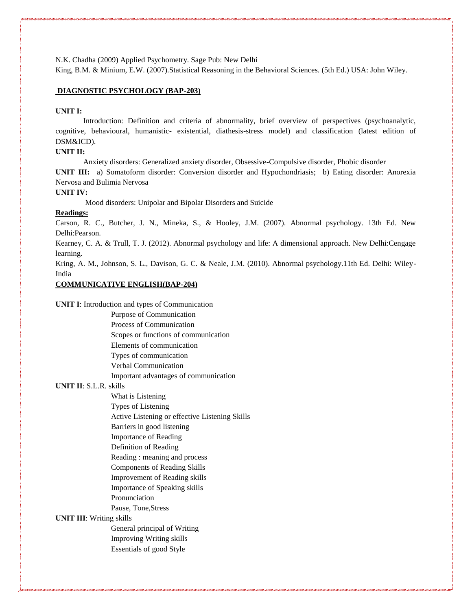N.K. Chadha (2009) Applied Psychometry. Sage Pub: New Delhi

King, B.M. & Minium, E.W. (2007).Statistical Reasoning in the Behavioral Sciences. (5th Ed.) USA: John Wiley.

#### **DIAGNOSTIC PSYCHOLOGY (BAP-203)**

#### **UNIT I:**

Introduction: Definition and criteria of abnormality, brief overview of perspectives (psychoanalytic, cognitive, behavioural, humanistic- existential, diathesis-stress model) and classification (latest edition of DSM&ICD).

#### **UNIT II:**

Anxiety disorders: Generalized anxiety disorder, Obsessive-Compulsive disorder, Phobic disorder

**UNIT III:** a) Somatoform disorder: Conversion disorder and Hypochondriasis; b) Eating disorder: Anorexia Nervosa and Bulimia Nervosa

#### **UNIT IV:**

Mood disorders: Unipolar and Bipolar Disorders and Suicide

#### **Readings:**

Carson, R. C., Butcher, J. N., Mineka, S., & Hooley, J.M. (2007). Abnormal psychology. 13th Ed. New Delhi:Pearson.

Kearney, C. A. & Trull, T. J. (2012). Abnormal psychology and life: A dimensional approach. New Delhi:Cengage learning.

Kring, A. M., Johnson, S. L., Davison, G. C. & Neale, J.M. (2010). Abnormal psychology.11th Ed. Delhi: Wiley-India

#### **COMMUNICATIVE ENGLISH(BAP-204)**

#### **UNIT I**: Introduction and types of Communication

Purpose of Communication Process of Communication Scopes or functions of communication Elements of communication Types of communication Verbal Communication

Important advantages of communication

#### **UNIT II**: S.L.R. skills

What is Listening Types of Listening Active Listening or effective Listening Skills Barriers in good listening Importance of Reading

Definition of Reading

Reading : meaning and process

Components of Reading Skills

Improvement of Reading skills

Importance of Speaking skills

Pronunciation

Pause, Tone,Stress

#### **UNIT III**: Writing skills

General principal of Writing Improving Writing skills Essentials of good Style